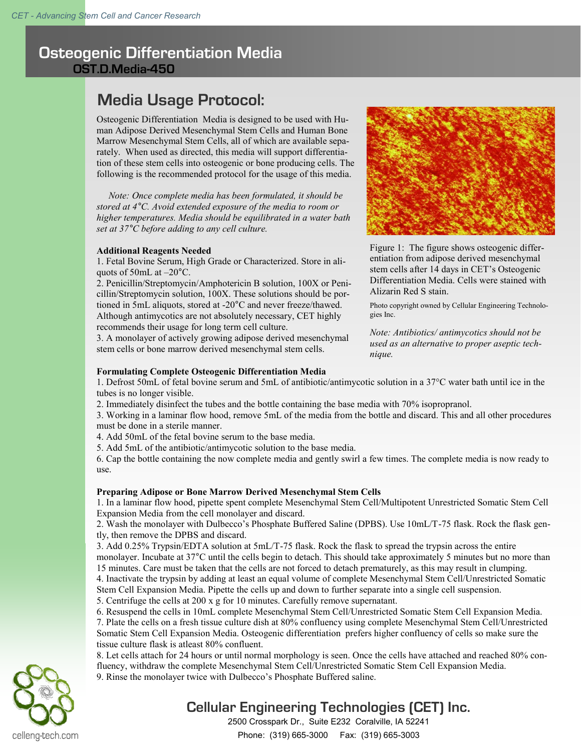# **Osteogenic Differentiation Media OST.D.Media-450**

# **Media Usage Protocol:**

Osteogenic Differentiation Media is designed to be used with Human Adipose Derived Mesenchymal Stem Cells and Human Bone Marrow Mesenchymal Stem Cells, all of which are available separately. When used as directed, this media will support differentiation of these stem cells into osteogenic or bone producing cells. The following is the recommended protocol for the usage of this media.

 *Note: Once complete media has been formulated, it should be stored at 4°C. Avoid extended exposure of the media to room or higher temperatures. Media should be equilibrated in a water bath set at 37°C before adding to any cell culture.*

### **Additional Reagents Needed**

1. Fetal Bovine Serum, High Grade or Characterized. Store in aliquots of 50mL at –20°C.

2. Penicillin/Streptomycin/Amphotericin B solution, 100X or Penicillin/Streptomycin solution, 100X. These solutions should be portioned in 5mL aliquots, stored at -20°C and never freeze/thawed. Although antimycotics are not absolutely necessary, CET highly recommends their usage for long term cell culture.

3. A monolayer of actively growing adipose derived mesenchymal stem cells or bone marrow derived mesenchymal stem cells.



Figure 1: The figure shows osteogenic differentiation from adipose derived mesenchymal stem cells after 14 days in CET's Osteogenic Differentiation Media. Cells were stained with Alizarin Red S stain.

Photo copyright owned by Cellular Engineering Technologies Inc.

*Note: Antibiotics/ antimycotics should not be used as an alternative to proper aseptic technique.* 

## **Formulating Complete Osteogenic Differentiation Media**

1. Defrost 50mL of fetal bovine serum and 5mL of antibiotic/antimycotic solution in a 37°C water bath until ice in the tubes is no longer visible.

2. Immediately disinfect the tubes and the bottle containing the base media with 70% isopropranol.

3. Working in a laminar flow hood, remove 5mL of the media from the bottle and discard. This and all other procedures must be done in a sterile manner.

4. Add 50mL of the fetal bovine serum to the base media.

5. Add 5mL of the antibiotic/antimycotic solution to the base media.

6. Cap the bottle containing the now complete media and gently swirl a few times. The complete media is now ready to use.

### **Preparing Adipose or Bone Marrow Derived Mesenchymal Stem Cells**

1. In a laminar flow hood, pipette spent complete Mesenchymal Stem Cell/Multipotent Unrestricted Somatic Stem Cell Expansion Media from the cell monolayer and discard.

2. Wash the monolayer with Dulbecco's Phosphate Buffered Saline (DPBS). Use 10mL/T-75 flask. Rock the flask gently, then remove the DPBS and discard.

3. Add 0.25% Trypsin/EDTA solution at 5mL/T-75 flask. Rock the flask to spread the trypsin across the entire monolayer. Incubate at 37°C until the cells begin to detach. This should take approximately 5 minutes but no more than 15 minutes. Care must be taken that the cells are not forced to detach prematurely, as this may result in clumping. 4. Inactivate the trypsin by adding at least an equal volume of complete Mesenchymal Stem Cell/Unrestricted Somatic Stem Cell Expansion Media. Pipette the cells up and down to further separate into a single cell suspension.

5. Centrifuge the cells at 200 x g for 10 minutes. Carefully remove supernatant.

6. Resuspend the cells in 10mL complete Mesenchymal Stem Cell/Unrestricted Somatic Stem Cell Expansion Media. 7. Plate the cells on a fresh tissue culture dish at 80% confluency using complete Mesenchymal Stem Cell/Unrestricted Somatic Stem Cell Expansion Media. Osteogenic differentiation prefers higher confluency of cells so make sure the tissue culture flask is atleast 80% confluent.

8. Let cells attach for 24 hours or until normal morphology is seen. Once the cells have attached and reached 80% confluency, withdraw the complete Mesenchymal Stem Cell/Unrestricted Somatic Stem Cell Expansion Media. 9. Rinse the monolayer twice with Dulbecco's Phosphate Buffered saline.

# **Cellular Engineering Technologies (CET) Inc.**

2500 Crosspark Dr., Suite E232 Coralville, IA 52241 Phone: (319) 665-3000 Fax: (319) 665-3003